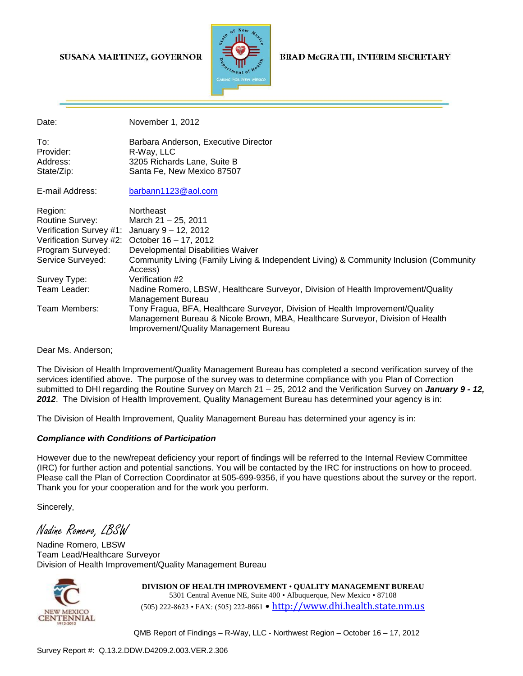### SUSANA MARTINEZ, GOVERNOR



#### **BRAD McGRATH, INTERIM SECRETARY**

| Date:                                                                                                                                                                 | November 1, 2012                                                                                                                                                                                         |
|-----------------------------------------------------------------------------------------------------------------------------------------------------------------------|----------------------------------------------------------------------------------------------------------------------------------------------------------------------------------------------------------|
| To:<br>Provider:<br>Address:<br>State/Zip:                                                                                                                            | Barbara Anderson, Executive Director<br>R-Way, LLC<br>3205 Richards Lane, Suite B<br>Santa Fe, New Mexico 87507                                                                                          |
| E-mail Address:                                                                                                                                                       | barbann1123@aol.com                                                                                                                                                                                      |
| Region:<br>Routine Survey:<br>Verification Survey #1: January 9 - 12, 2012<br>Verification Survey #2: October 16 - 17, 2012<br>Program Surveyed:<br>Service Surveyed: | <b>Northeast</b><br>March 21 - 25, 2011<br>Developmental Disabilities Waiver<br>Community Living (Family Living & Independent Living) & Community Inclusion (Community<br>Access)                        |
| Survey Type:                                                                                                                                                          | Verification #2                                                                                                                                                                                          |
| Team Leader:                                                                                                                                                          | Nadine Romero, LBSW, Healthcare Surveyor, Division of Health Improvement/Quality<br>Management Bureau                                                                                                    |
| Team Members:                                                                                                                                                         | Tony Fragua, BFA, Healthcare Surveyor, Division of Health Improvement/Quality<br>Management Bureau & Nicole Brown, MBA, Healthcare Surveyor, Division of Health<br>Improvement/Quality Management Bureau |

Dear Ms. Anderson;

The Division of Health Improvement/Quality Management Bureau has completed a second verification survey of the services identified above. The purpose of the survey was to determine compliance with you Plan of Correction submitted to DHI regarding the Routine Survey on March 21 – 25, 2012 and the Verification Survey on *January 9 - 12, 2012*.The Division of Health Improvement, Quality Management Bureau has determined your agency is in:

The Division of Health Improvement, Quality Management Bureau has determined your agency is in:

#### *Compliance with Conditions of Participation*

However due to the new/repeat deficiency your report of findings will be referred to the Internal Review Committee (IRC) for further action and potential sanctions. You will be contacted by the IRC for instructions on how to proceed. Please call the Plan of Correction Coordinator at 505-699-9356, if you have questions about the survey or the report. Thank you for your cooperation and for the work you perform.

Sincerely,

Nadine Romero, LBSW

Nadine Romero, LBSW Team Lead/Healthcare Surveyor Division of Health Improvement/Quality Management Bureau



**DIVISION OF HEALTH IMPROVEMENT** • **QUALITY MANAGEMENT BUREAU** 5301 Central Avenue NE, Suite 400 • Albuquerque, New Mexico • 87108 (505) 222-8623 • FAX: (505) 222-8661 • http://www.dhi.health.state.nm.us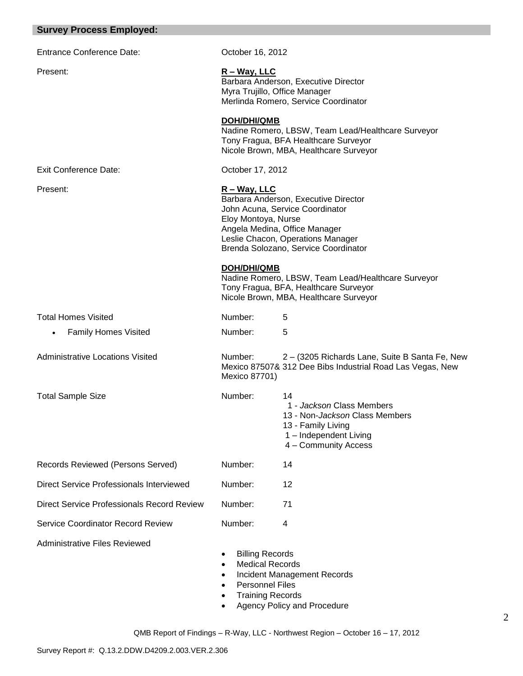| <b>Survey Process Employed:</b>                   |                                                                                                       |                                                                                                                                                                                       |
|---------------------------------------------------|-------------------------------------------------------------------------------------------------------|---------------------------------------------------------------------------------------------------------------------------------------------------------------------------------------|
| <b>Entrance Conference Date:</b>                  | October 16, 2012                                                                                      |                                                                                                                                                                                       |
| Present:                                          | $R - Way$ , LLC                                                                                       | Barbara Anderson, Executive Director<br>Myra Trujillo, Office Manager<br>Merlinda Romero, Service Coordinator                                                                         |
|                                                   | <b>DOH/DHI/QMB</b>                                                                                    | Nadine Romero, LBSW, Team Lead/Healthcare Surveyor<br>Tony Fragua, BFA Healthcare Surveyor<br>Nicole Brown, MBA, Healthcare Surveyor                                                  |
| <b>Exit Conference Date:</b>                      | October 17, 2012                                                                                      |                                                                                                                                                                                       |
| Present:                                          | $R - Way$ , LLC<br>Eloy Montoya, Nurse                                                                | Barbara Anderson, Executive Director<br>John Acuna, Service Coordinator<br>Angela Medina, Office Manager<br>Leslie Chacon, Operations Manager<br>Brenda Solozano, Service Coordinator |
|                                                   | <b>DOH/DHI/QMB</b>                                                                                    | Nadine Romero, LBSW, Team Lead/Healthcare Surveyor<br>Tony Fragua, BFA, Healthcare Surveyor<br>Nicole Brown, MBA, Healthcare Surveyor                                                 |
| <b>Total Homes Visited</b>                        | Number:                                                                                               | 5                                                                                                                                                                                     |
| <b>Family Homes Visited</b><br>$\bullet$          | Number:                                                                                               | 5                                                                                                                                                                                     |
| <b>Administrative Locations Visited</b>           | Number:<br>Mexico 87701)                                                                              | 2 – (3205 Richards Lane, Suite B Santa Fe, New<br>Mexico 87507& 312 Dee Bibs Industrial Road Las Vegas, New                                                                           |
| <b>Total Sample Size</b>                          | Number:                                                                                               | 14<br>1 - Jackson Class Members<br>13 - Non-Jackson Class Members<br>13 - Family Living<br>1 - Independent Living<br>4 - Community Access                                             |
| Records Reviewed (Persons Served)                 | Number:                                                                                               | 14                                                                                                                                                                                    |
| Direct Service Professionals Interviewed          | Number:                                                                                               | 12                                                                                                                                                                                    |
| <b>Direct Service Professionals Record Review</b> | Number:                                                                                               | 71                                                                                                                                                                                    |
| <b>Service Coordinator Record Review</b>          | Number:                                                                                               | 4                                                                                                                                                                                     |
| <b>Administrative Files Reviewed</b>              | <b>Billing Records</b><br><b>Medical Records</b><br><b>Personnel Files</b><br><b>Training Records</b> | <b>Incident Management Records</b><br>Agency Policy and Procedure                                                                                                                     |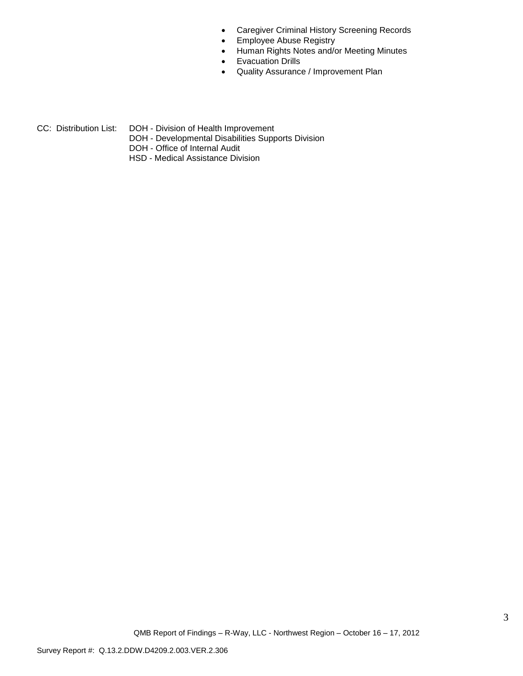- Caregiver Criminal History Screening Records
- **•** Employee Abuse Registry
- Human Rights Notes and/or Meeting Minutes
- **•** Evacuation Drills
- Quality Assurance / Improvement Plan
- CC: Distribution List: DOH Division of Health Improvement
	- DOH Developmental Disabilities Supports Division
	- DOH Office of Internal Audit
	- HSD Medical Assistance Division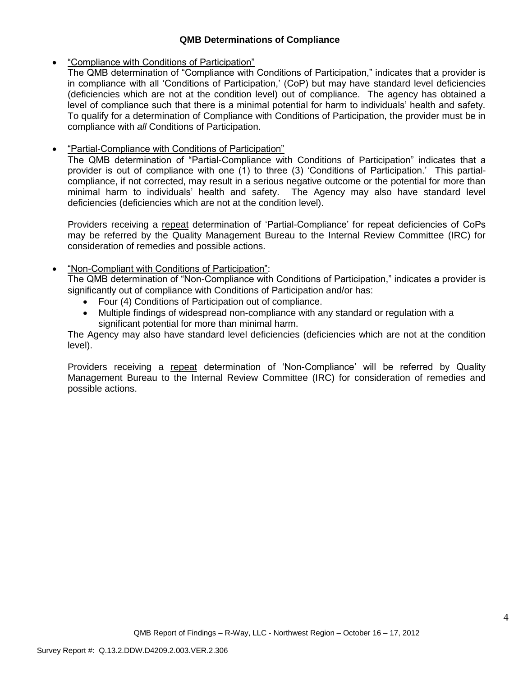## **QMB Determinations of Compliance**

- "Compliance with Conditions of Participation"
	- The QMB determination of "Compliance with Conditions of Participation," indicates that a provider is in compliance with all 'Conditions of Participation,' (CoP) but may have standard level deficiencies (deficiencies which are not at the condition level) out of compliance. The agency has obtained a level of compliance such that there is a minimal potential for harm to individuals' health and safety. To qualify for a determination of Compliance with Conditions of Participation, the provider must be in compliance with *all* Conditions of Participation.
- "Partial-Compliance with Conditions of Participation"

The QMB determination of "Partial-Compliance with Conditions of Participation" indicates that a provider is out of compliance with one (1) to three (3) 'Conditions of Participation.' This partialcompliance, if not corrected, may result in a serious negative outcome or the potential for more than minimal harm to individuals' health and safety. The Agency may also have standard level deficiencies (deficiencies which are not at the condition level).

Providers receiving a repeat determination of 'Partial-Compliance' for repeat deficiencies of CoPs may be referred by the Quality Management Bureau to the Internal Review Committee (IRC) for consideration of remedies and possible actions.

"Non-Compliant with Conditions of Participation":

The QMB determination of "Non-Compliance with Conditions of Participation," indicates a provider is significantly out of compliance with Conditions of Participation and/or has:

- Four (4) Conditions of Participation out of compliance.
- Multiple findings of widespread non-compliance with any standard or regulation with a significant potential for more than minimal harm.

The Agency may also have standard level deficiencies (deficiencies which are not at the condition level).

Providers receiving a repeat determination of 'Non-Compliance' will be referred by Quality Management Bureau to the Internal Review Committee (IRC) for consideration of remedies and possible actions.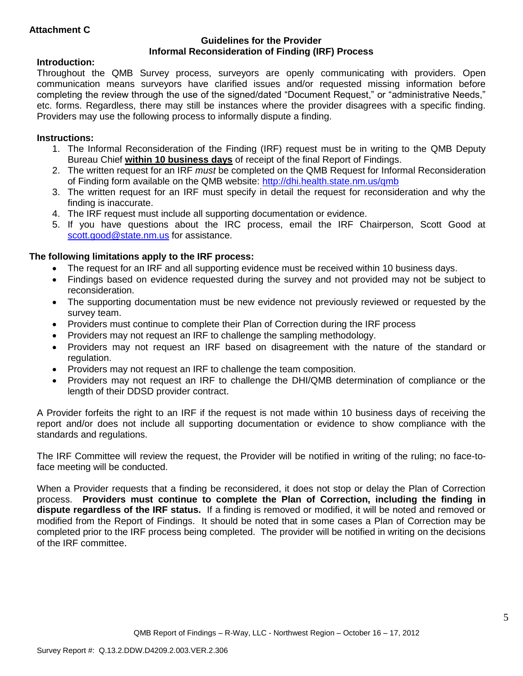# **Attachment C**

## **Guidelines for the Provider Informal Reconsideration of Finding (IRF) Process**

## **Introduction:**

Throughout the QMB Survey process, surveyors are openly communicating with providers. Open communication means surveyors have clarified issues and/or requested missing information before completing the review through the use of the signed/dated "Document Request," or "administrative Needs," etc. forms. Regardless, there may still be instances where the provider disagrees with a specific finding. Providers may use the following process to informally dispute a finding.

## **Instructions:**

- 1. The Informal Reconsideration of the Finding (IRF) request must be in writing to the QMB Deputy Bureau Chief **within 10 business days** of receipt of the final Report of Findings.
- 2. The written request for an IRF *must* be completed on the QMB Request for Informal Reconsideration of Finding form available on the QMB website:<http://dhi.health.state.nm.us/qmb>
- 3. The written request for an IRF must specify in detail the request for reconsideration and why the finding is inaccurate.
- 4. The IRF request must include all supporting documentation or evidence.
- 5. If you have questions about the IRC process, email the IRF Chairperson, Scott Good at [scott.good@state.nm.us](mailto:scott.good@state.nm.us) for assistance.

# **The following limitations apply to the IRF process:**

- The request for an IRF and all supporting evidence must be received within 10 business days.
- Findings based on evidence requested during the survey and not provided may not be subject to reconsideration.
- The supporting documentation must be new evidence not previously reviewed or requested by the survey team.
- Providers must continue to complete their Plan of Correction during the IRF process
- Providers may not request an IRF to challenge the sampling methodology.
- Providers may not request an IRF based on disagreement with the nature of the standard or regulation.
- Providers may not request an IRF to challenge the team composition.
- Providers may not request an IRF to challenge the DHI/QMB determination of compliance or the length of their DDSD provider contract.

A Provider forfeits the right to an IRF if the request is not made within 10 business days of receiving the report and/or does not include all supporting documentation or evidence to show compliance with the standards and regulations.

The IRF Committee will review the request, the Provider will be notified in writing of the ruling; no face-toface meeting will be conducted.

When a Provider requests that a finding be reconsidered, it does not stop or delay the Plan of Correction process. **Providers must continue to complete the Plan of Correction, including the finding in dispute regardless of the IRF status.** If a finding is removed or modified, it will be noted and removed or modified from the Report of Findings. It should be noted that in some cases a Plan of Correction may be completed prior to the IRF process being completed. The provider will be notified in writing on the decisions of the IRF committee.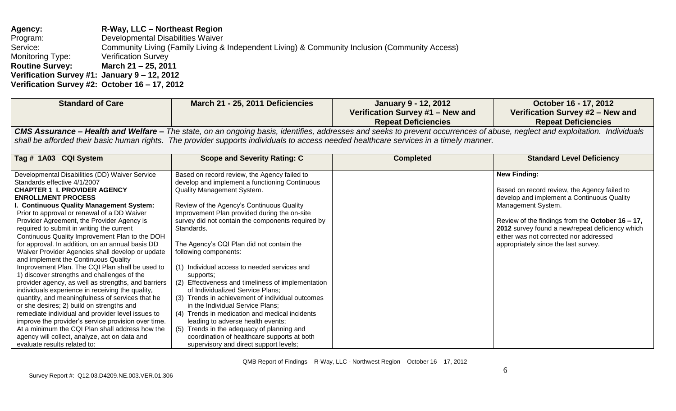**Agency: R-Way, LLC – Northeast Region** Program: Developmental Disabilities Waiver<br>Service: Community Living (Family Living & Community Living (Family Living & Independent Living) & Community Inclusion (Community Access) Monitoring Type: Verification Survey<br>
Routine Survey: March 21 - 25, 201 **Routine Survey: March 21 – 25, 2011 Verification Survey #1: January 9 – 12, 2012 Verification Survey #2: October 16 – 17, 2012**

| <b>Standard of Care</b>                                                                                                                                                                                                                                                                                                                                                                                                                                                                                                                                                                                                                                                                                                                                                                                                                                                                                                                                                                                                                                                                                      | March 21 - 25, 2011 Deficiencies                                                                                                                                                                                                                                                                                                                                                                                                                                                                                                                                                                                                                                                                                                                                                                                                                         | <b>January 9 - 12, 2012</b><br>Verification Survey #1 - New and<br><b>Repeat Deficiencies</b> | October 16 - 17, 2012<br>Verification Survey #2 - New and<br><b>Repeat Deficiencies</b>                                                                                                                                                                                                                                          |
|--------------------------------------------------------------------------------------------------------------------------------------------------------------------------------------------------------------------------------------------------------------------------------------------------------------------------------------------------------------------------------------------------------------------------------------------------------------------------------------------------------------------------------------------------------------------------------------------------------------------------------------------------------------------------------------------------------------------------------------------------------------------------------------------------------------------------------------------------------------------------------------------------------------------------------------------------------------------------------------------------------------------------------------------------------------------------------------------------------------|----------------------------------------------------------------------------------------------------------------------------------------------------------------------------------------------------------------------------------------------------------------------------------------------------------------------------------------------------------------------------------------------------------------------------------------------------------------------------------------------------------------------------------------------------------------------------------------------------------------------------------------------------------------------------------------------------------------------------------------------------------------------------------------------------------------------------------------------------------|-----------------------------------------------------------------------------------------------|----------------------------------------------------------------------------------------------------------------------------------------------------------------------------------------------------------------------------------------------------------------------------------------------------------------------------------|
|                                                                                                                                                                                                                                                                                                                                                                                                                                                                                                                                                                                                                                                                                                                                                                                                                                                                                                                                                                                                                                                                                                              | CMS Assurance – Health and Welfare – The state, on an ongoing basis, identifies, addresses and seeks to prevent occurrences of abuse, neglect and exploitation. Individuals                                                                                                                                                                                                                                                                                                                                                                                                                                                                                                                                                                                                                                                                              |                                                                                               |                                                                                                                                                                                                                                                                                                                                  |
|                                                                                                                                                                                                                                                                                                                                                                                                                                                                                                                                                                                                                                                                                                                                                                                                                                                                                                                                                                                                                                                                                                              | shall be afforded their basic human rights. The provider supports individuals to access needed healthcare services in a timely manner.                                                                                                                                                                                                                                                                                                                                                                                                                                                                                                                                                                                                                                                                                                                   |                                                                                               |                                                                                                                                                                                                                                                                                                                                  |
| Tag # 1A03 CQI System                                                                                                                                                                                                                                                                                                                                                                                                                                                                                                                                                                                                                                                                                                                                                                                                                                                                                                                                                                                                                                                                                        | <b>Scope and Severity Rating: C</b>                                                                                                                                                                                                                                                                                                                                                                                                                                                                                                                                                                                                                                                                                                                                                                                                                      | <b>Completed</b>                                                                              | <b>Standard Level Deficiency</b>                                                                                                                                                                                                                                                                                                 |
| Developmental Disabilities (DD) Waiver Service<br>Standards effective 4/1/2007<br><b>CHAPTER 1 I. PROVIDER AGENCY</b><br><b>ENROLLMENT PROCESS</b><br><b>Continuous Quality Management System:</b><br>Prior to approval or renewal of a DD Waiver<br>Provider Agreement, the Provider Agency is<br>required to submit in writing the current<br>Continuous Quality Improvement Plan to the DOH<br>for approval. In addition, on an annual basis DD<br>Waiver Provider Agencies shall develop or update<br>and implement the Continuous Quality<br>Improvement Plan. The CQI Plan shall be used to<br>1) discover strengths and challenges of the<br>provider agency, as well as strengths, and barriers<br>individuals experience in receiving the quality,<br>quantity, and meaningfulness of services that he<br>or she desires; 2) build on strengths and<br>remediate individual and provider level issues to<br>improve the provider's service provision over time.<br>At a minimum the CQI Plan shall address how the<br>agency will collect, analyze, act on data and<br>evaluate results related to: | Based on record review, the Agency failed to<br>develop and implement a functioning Continuous<br>Quality Management System.<br>Review of the Agency's Continuous Quality<br>Improvement Plan provided during the on-site<br>survey did not contain the components required by<br>Standards.<br>The Agency's CQI Plan did not contain the<br>following components:<br>Individual access to needed services and<br>(1)<br>supports;<br>Effectiveness and timeliness of implementation<br>(2)<br>of Individualized Service Plans;<br>(3) Trends in achievement of individual outcomes<br>in the Individual Service Plans;<br>(4) Trends in medication and medical incidents<br>leading to adverse health events;<br>Trends in the adequacy of planning and<br>(5)<br>coordination of healthcare supports at both<br>supervisory and direct support levels; |                                                                                               | <b>New Finding:</b><br>Based on record review, the Agency failed to<br>develop and implement a Continuous Quality<br>Management System.<br>Review of the findings from the October 16 - 17,<br>2012 survey found a new/repeat deficiency which<br>either was not corrected nor addressed<br>appropriately since the last survey. |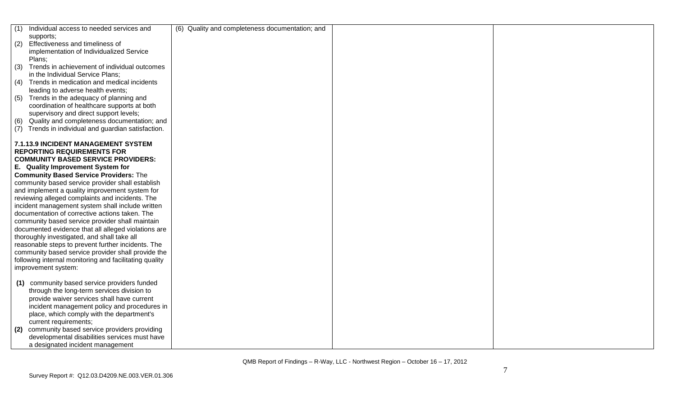| Individual access to needed services and<br>(1)        | (6) Quality and completeness documentation; and |  |
|--------------------------------------------------------|-------------------------------------------------|--|
| supports;                                              |                                                 |  |
| Effectiveness and timeliness of<br>(2)                 |                                                 |  |
| implementation of Individualized Service               |                                                 |  |
| Plans;                                                 |                                                 |  |
| (3)<br>Trends in achievement of individual outcomes    |                                                 |  |
|                                                        |                                                 |  |
| in the Individual Service Plans;                       |                                                 |  |
| (4) Trends in medication and medical incidents         |                                                 |  |
| leading to adverse health events;                      |                                                 |  |
| (5)<br>Trends in the adequacy of planning and          |                                                 |  |
| coordination of healthcare supports at both            |                                                 |  |
| supervisory and direct support levels;                 |                                                 |  |
| Quality and completeness documentation; and<br>(6)     |                                                 |  |
| (7) Trends in individual and guardian satisfaction.    |                                                 |  |
|                                                        |                                                 |  |
| 7.1.13.9 INCIDENT MANAGEMENT SYSTEM                    |                                                 |  |
| <b>REPORTING REQUIREMENTS FOR</b>                      |                                                 |  |
| <b>COMMUNITY BASED SERVICE PROVIDERS:</b>              |                                                 |  |
|                                                        |                                                 |  |
| E. Quality Improvement System for                      |                                                 |  |
| <b>Community Based Service Providers: The</b>          |                                                 |  |
| community based service provider shall establish       |                                                 |  |
| and implement a quality improvement system for         |                                                 |  |
| reviewing alleged complaints and incidents. The        |                                                 |  |
| incident management system shall include written       |                                                 |  |
| documentation of corrective actions taken. The         |                                                 |  |
| community based service provider shall maintain        |                                                 |  |
| documented evidence that all alleged violations are    |                                                 |  |
| thoroughly investigated, and shall take all            |                                                 |  |
| reasonable steps to prevent further incidents. The     |                                                 |  |
| community based service provider shall provide the     |                                                 |  |
| following internal monitoring and facilitating quality |                                                 |  |
| improvement system:                                    |                                                 |  |
|                                                        |                                                 |  |
|                                                        |                                                 |  |
| (1) community based service providers funded           |                                                 |  |
| through the long-term services division to             |                                                 |  |
| provide waiver services shall have current             |                                                 |  |
| incident management policy and procedures in           |                                                 |  |
| place, which comply with the department's              |                                                 |  |
| current requirements;                                  |                                                 |  |
| community based service providers providing<br>(2)     |                                                 |  |
| developmental disabilities services must have          |                                                 |  |
| a designated incident management                       |                                                 |  |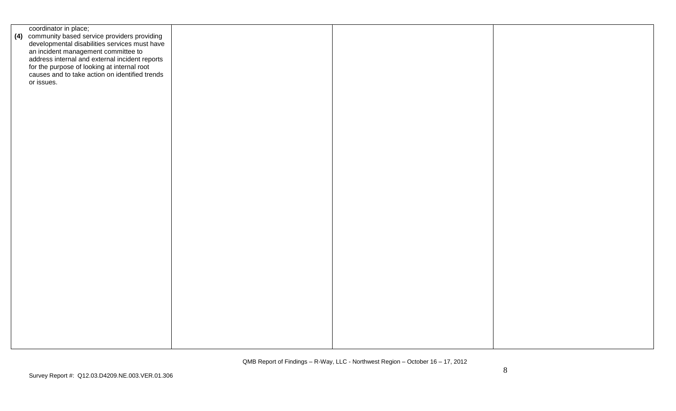| coordinator in place;<br>(4) community based service providers providing<br>developmental disabilities services must have<br>an incident management committee to |  |  |
|------------------------------------------------------------------------------------------------------------------------------------------------------------------|--|--|
|                                                                                                                                                                  |  |  |
|                                                                                                                                                                  |  |  |
|                                                                                                                                                                  |  |  |
|                                                                                                                                                                  |  |  |
| address internal and external incident reports                                                                                                                   |  |  |
|                                                                                                                                                                  |  |  |
| for the purpose of looking at internal root<br>causes and to take action on identified trends                                                                    |  |  |
|                                                                                                                                                                  |  |  |
| or issues.                                                                                                                                                       |  |  |
|                                                                                                                                                                  |  |  |
|                                                                                                                                                                  |  |  |
|                                                                                                                                                                  |  |  |
|                                                                                                                                                                  |  |  |
|                                                                                                                                                                  |  |  |
|                                                                                                                                                                  |  |  |
|                                                                                                                                                                  |  |  |
|                                                                                                                                                                  |  |  |
|                                                                                                                                                                  |  |  |
|                                                                                                                                                                  |  |  |
|                                                                                                                                                                  |  |  |
|                                                                                                                                                                  |  |  |
|                                                                                                                                                                  |  |  |
|                                                                                                                                                                  |  |  |
|                                                                                                                                                                  |  |  |
|                                                                                                                                                                  |  |  |
|                                                                                                                                                                  |  |  |
|                                                                                                                                                                  |  |  |
|                                                                                                                                                                  |  |  |
|                                                                                                                                                                  |  |  |
|                                                                                                                                                                  |  |  |
|                                                                                                                                                                  |  |  |
|                                                                                                                                                                  |  |  |
|                                                                                                                                                                  |  |  |
|                                                                                                                                                                  |  |  |
|                                                                                                                                                                  |  |  |
|                                                                                                                                                                  |  |  |
|                                                                                                                                                                  |  |  |
|                                                                                                                                                                  |  |  |
|                                                                                                                                                                  |  |  |
|                                                                                                                                                                  |  |  |
|                                                                                                                                                                  |  |  |
|                                                                                                                                                                  |  |  |
|                                                                                                                                                                  |  |  |
|                                                                                                                                                                  |  |  |
|                                                                                                                                                                  |  |  |
|                                                                                                                                                                  |  |  |
|                                                                                                                                                                  |  |  |
|                                                                                                                                                                  |  |  |
|                                                                                                                                                                  |  |  |
|                                                                                                                                                                  |  |  |
|                                                                                                                                                                  |  |  |
|                                                                                                                                                                  |  |  |
|                                                                                                                                                                  |  |  |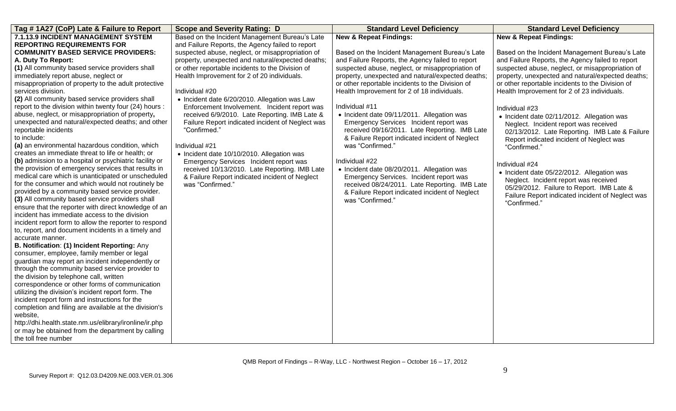| Tag #1A27 (CoP) Late & Failure to Report                                                                | <b>Scope and Severity Rating: D</b>               | <b>Standard Level Deficiency</b>                  | <b>Standard Level Deficiency</b>                  |
|---------------------------------------------------------------------------------------------------------|---------------------------------------------------|---------------------------------------------------|---------------------------------------------------|
| 7.1.13.9 INCIDENT MANAGEMENT SYSTEM                                                                     | Based on the Incident Management Bureau's Late    | <b>New &amp; Repeat Findings:</b>                 | <b>New &amp; Repeat Findings:</b>                 |
| <b>REPORTING REQUIREMENTS FOR</b>                                                                       | and Failure Reports, the Agency failed to report  |                                                   |                                                   |
| <b>COMMUNITY BASED SERVICE PROVIDERS:</b>                                                               | suspected abuse, neglect, or misappropriation of  | Based on the Incident Management Bureau's Late    | Based on the Incident Management Bureau's Late    |
| A. Duty To Report:                                                                                      | property, unexpected and natural/expected deaths; | and Failure Reports, the Agency failed to report  | and Failure Reports, the Agency failed to report  |
| (1) All community based service providers shall                                                         | or other reportable incidents to the Division of  | suspected abuse, neglect, or misappropriation of  | suspected abuse, neglect, or misappropriation of  |
| immediately report abuse, neglect or                                                                    | Health Improvement for 2 of 20 individuals.       | property, unexpected and natural/expected deaths; | property, unexpected and natural/expected deaths; |
| misappropriation of property to the adult protective                                                    |                                                   | or other reportable incidents to the Division of  | or other reportable incidents to the Division of  |
| services division.                                                                                      | Individual #20                                    | Health Improvement for 2 of 18 individuals.       | Health Improvement for 2 of 23 individuals.       |
| (2) All community based service providers shall                                                         | • Incident date 6/20/2010. Allegation was Law     |                                                   |                                                   |
| report to the division within twenty four (24) hours :                                                  | Enforcement Involvement. Incident report was      | Individual #11                                    | Individual #23                                    |
| abuse, neglect, or misappropriation of property,                                                        | received 6/9/2010. Late Reporting. IMB Late &     | • Incident date 09/11/2011. Allegation was        | • Incident date 02/11/2012. Allegation was        |
| unexpected and natural/expected deaths; and other                                                       | Failure Report indicated incident of Neglect was  | Emergency Services Incident report was            | Neglect. Incident report was received             |
| reportable incidents                                                                                    | "Confirmed."                                      | received 09/16/2011. Late Reporting. IMB Late     | 02/13/2012. Late Reporting. IMB Late & Failure    |
| to include:                                                                                             |                                                   | & Failure Report indicated incident of Neglect    | Report indicated incident of Neglect was          |
| (a) an environmental hazardous condition, which                                                         | Individual #21                                    | was "Confirmed."                                  | "Confirmed."                                      |
| creates an immediate threat to life or health; or                                                       | • Incident date 10/10/2010. Allegation was        |                                                   |                                                   |
| (b) admission to a hospital or psychiatric facility or                                                  | Emergency Services Incident report was            | Individual #22                                    | Individual #24                                    |
| the provision of emergency services that results in                                                     | received 10/13/2010. Late Reporting. IMB Late     | • Incident date 08/20/2011. Allegation was        | • Incident date 05/22/2012. Allegation was        |
| medical care which is unanticipated or unscheduled                                                      | & Failure Report indicated incident of Neglect    | Emergency Services. Incident report was           | Neglect. Incident report was received             |
| for the consumer and which would not routinely be                                                       | was "Confirmed."                                  | received 08/24/2011. Late Reporting. IMB Late     | 05/29/2012. Failure to Report. IMB Late &         |
| provided by a community based service provider.                                                         |                                                   | & Failure Report indicated incident of Neglect    | Failure Report indicated incident of Neglect was  |
| (3) All community based service providers shall<br>ensure that the reporter with direct knowledge of an |                                                   | was "Confirmed."                                  | "Confirmed."                                      |
| incident has immediate access to the division                                                           |                                                   |                                                   |                                                   |
| incident report form to allow the reporter to respond                                                   |                                                   |                                                   |                                                   |
| to, report, and document incidents in a timely and                                                      |                                                   |                                                   |                                                   |
| accurate manner.                                                                                        |                                                   |                                                   |                                                   |
| B. Notification: (1) Incident Reporting: Any                                                            |                                                   |                                                   |                                                   |
| consumer, employee, family member or legal                                                              |                                                   |                                                   |                                                   |
| guardian may report an incident independently or                                                        |                                                   |                                                   |                                                   |
| through the community based service provider to                                                         |                                                   |                                                   |                                                   |
| the division by telephone call, written                                                                 |                                                   |                                                   |                                                   |
| correspondence or other forms of communication                                                          |                                                   |                                                   |                                                   |
| utilizing the division's incident report form. The                                                      |                                                   |                                                   |                                                   |
| incident report form and instructions for the                                                           |                                                   |                                                   |                                                   |
| completion and filing are available at the division's                                                   |                                                   |                                                   |                                                   |
| website,                                                                                                |                                                   |                                                   |                                                   |
| http://dhi.health.state.nm.us/elibrary/ironline/ir.php                                                  |                                                   |                                                   |                                                   |
| or may be obtained from the department by calling                                                       |                                                   |                                                   |                                                   |
| the toll free number                                                                                    |                                                   |                                                   |                                                   |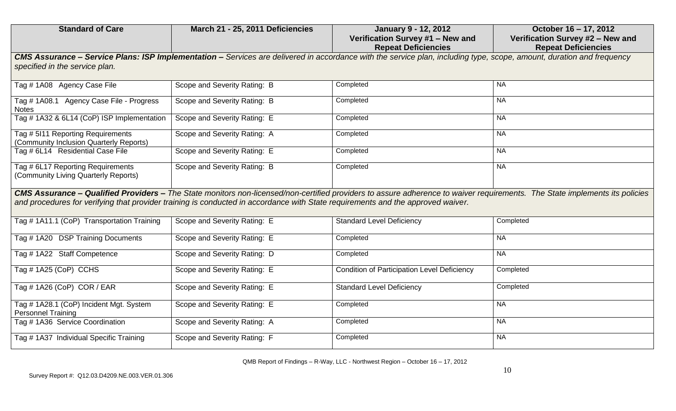| <b>Standard of Care</b>                                                      | March 21 - 25, 2011 Deficiencies                                                                                                | <b>January 9 - 12, 2012</b><br>Verification Survey #1 - New and<br><b>Repeat Deficiencies</b>                                                                         | October 16 - 17, 2012<br>Verification Survey #2 - New and<br><b>Repeat Deficiencies</b>                                                                                     |
|------------------------------------------------------------------------------|---------------------------------------------------------------------------------------------------------------------------------|-----------------------------------------------------------------------------------------------------------------------------------------------------------------------|-----------------------------------------------------------------------------------------------------------------------------------------------------------------------------|
| specified in the service plan.                                               |                                                                                                                                 | CMS Assurance – Service Plans: ISP Implementation – Services are delivered in accordance with the service plan, including type, scope, amount, duration and frequency |                                                                                                                                                                             |
| Tag #1A08 Agency Case File                                                   | Scope and Severity Rating: B                                                                                                    | Completed                                                                                                                                                             | <b>NA</b>                                                                                                                                                                   |
| Tag # 1A08.1 Agency Case File - Progress<br><b>Notes</b>                     | Scope and Severity Rating: B                                                                                                    | Completed                                                                                                                                                             | <b>NA</b>                                                                                                                                                                   |
| Tag # 1A32 & 6L14 (CoP) ISP Implementation                                   | Scope and Severity Rating: E                                                                                                    | Completed                                                                                                                                                             | <b>NA</b>                                                                                                                                                                   |
| Tag # 5111 Reporting Requirements<br>(Community Inclusion Quarterly Reports) | Scope and Severity Rating: A                                                                                                    | Completed                                                                                                                                                             | <b>NA</b>                                                                                                                                                                   |
| Tag # 6L14 Residential Case File                                             | Scope and Severity Rating: E                                                                                                    | Completed                                                                                                                                                             | <b>NA</b>                                                                                                                                                                   |
| Tag # 6L17 Reporting Requirements<br>(Community Living Quarterly Reports)    | Scope and Severity Rating: B                                                                                                    | Completed                                                                                                                                                             | <b>NA</b>                                                                                                                                                                   |
|                                                                              | and procedures for verifying that provider training is conducted in accordance with State requirements and the approved waiver. |                                                                                                                                                                       | CMS Assurance - Qualified Providers - The State monitors non-licensed/non-certified providers to assure adherence to waiver requirements. The State implements its policies |
| Tag # 1A11.1 (CoP) Transportation Training                                   | Scope and Severity Rating: E                                                                                                    | <b>Standard Level Deficiency</b>                                                                                                                                      | Completed                                                                                                                                                                   |
| Tag #1A20 DSP Training Documents                                             | Scope and Severity Rating: E                                                                                                    | Completed                                                                                                                                                             | <b>NA</b>                                                                                                                                                                   |
| Tag #1A22 Staff Competence                                                   | Scope and Severity Rating: D                                                                                                    | Completed                                                                                                                                                             | <b>NA</b>                                                                                                                                                                   |
| Tag # 1A25 (CoP) CCHS                                                        | Scope and Severity Rating: E                                                                                                    | <b>Condition of Participation Level Deficiency</b>                                                                                                                    | Completed                                                                                                                                                                   |
| Tag # 1A26 (CoP) COR / EAR                                                   | Scope and Severity Rating: E                                                                                                    | <b>Standard Level Deficiency</b>                                                                                                                                      | Completed                                                                                                                                                                   |
| Tag # 1A28.1 (CoP) Incident Mgt. System<br><b>Personnel Training</b>         | Scope and Severity Rating: E                                                                                                    | Completed                                                                                                                                                             | <b>NA</b>                                                                                                                                                                   |
| Tag #1A36 Service Coordination                                               | Scope and Severity Rating: A                                                                                                    | Completed                                                                                                                                                             | <b>NA</b>                                                                                                                                                                   |
| Tag # 1A37 Individual Specific Training                                      | Scope and Severity Rating: F                                                                                                    | Completed                                                                                                                                                             | <b>NA</b>                                                                                                                                                                   |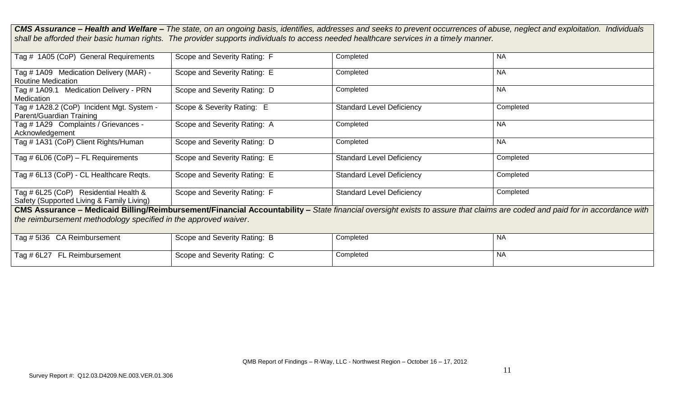*CMS Assurance – Health and Welfare – The state, on an ongoing basis, identifies, addresses and seeks to prevent occurrences of abuse, neglect and exploitation. Individuals shall be afforded their basic human rights. The provider supports individuals to access needed healthcare services in a timely manner.*

| Tag # 1A05 (CoP) General Requirements                                                                                                                                                                                                         | Scope and Severity Rating: F | Completed                        | <b>NA</b> |
|-----------------------------------------------------------------------------------------------------------------------------------------------------------------------------------------------------------------------------------------------|------------------------------|----------------------------------|-----------|
| Tag # 1A09 Medication Delivery (MAR) -<br><b>Routine Medication</b>                                                                                                                                                                           | Scope and Severity Rating: E | Completed                        | <b>NA</b> |
| Tag # 1A09.1 Medication Delivery - PRN<br>Medication                                                                                                                                                                                          | Scope and Severity Rating: D | Completed                        | <b>NA</b> |
| Tag # 1A28.2 (CoP) Incident Mgt. System -<br>Parent/Guardian Training                                                                                                                                                                         | Scope & Severity Rating: E   | <b>Standard Level Deficiency</b> | Completed |
| Tag # 1A29 Complaints / Grievances -<br>Acknowledgement                                                                                                                                                                                       | Scope and Severity Rating: A | Completed                        | <b>NA</b> |
| Tag # 1A31 (CoP) Client Rights/Human                                                                                                                                                                                                          | Scope and Severity Rating: D | Completed                        | <b>NA</b> |
| Tag # 6L06 (CoP) – FL Requirements                                                                                                                                                                                                            | Scope and Severity Rating: E | <b>Standard Level Deficiency</b> | Completed |
| Tag # 6L13 (CoP) - CL Healthcare Reqts.                                                                                                                                                                                                       | Scope and Severity Rating: E | <b>Standard Level Deficiency</b> | Completed |
| Tag # 6L25 (CoP) Residential Health &<br>Safety (Supported Living & Family Living)                                                                                                                                                            | Scope and Severity Rating: F | <b>Standard Level Deficiency</b> | Completed |
| CMS Assurance – Medicaid Billing/Reimbursement/Financial Accountability – State financial oversight exists to assure that claims are coded and paid for in accordance with<br>the reimbursement methodology specified in the approved waiver. |                              |                                  |           |
| Tag # 5136 CA Reimbursement                                                                                                                                                                                                                   | Scope and Severity Rating: B | Completed                        | <b>NA</b> |
| Tag # 6L27<br><b>FL Reimbursement</b>                                                                                                                                                                                                         | Scope and Severity Rating: C | Completed                        | <b>NA</b> |